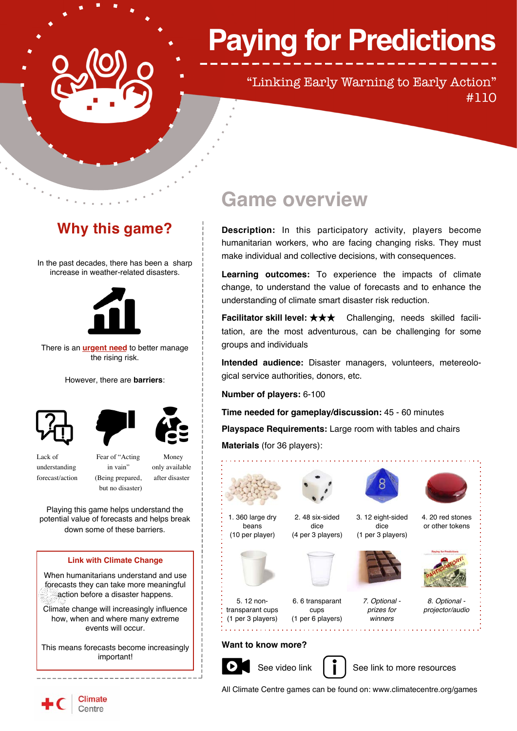# **Paying for Predictions**

 "Linking Early Warning to Early Action" #110

**Why this game?**

In the past decades, there has been a sharp increase in weather-related disasters.



There is an **urgent need** to better manage the rising risk.

#### However, there are **barriers**:





Lack of Fear of "Acting Money" understanding in vain" only available forecast/action (Being prepared, after disaster but no disaster)

Playing this game helps understand the potential value of forecasts and helps break down some of these barriers.

#### **Link with Climate Change**

When humanitarians understand and use forecasts they can take more meaningful action before a disaster happens. Climate change will increasingly influence

how, when and where many extreme events will occur.

This means forecasts become increasingly important!

### **Game overview**

**Description:** In this participatory activity, players become humanitarian workers, who are facing changing risks. They must make individual and collective decisions, with consequences.

**Learning outcomes:** To experience the impacts of climate change, to understand the value of forecasts and to enhance the understanding of climate smart disaster risk reduction.

**Facilitator skill level:**  $\star \star \star$  Challenging, needs skilled facilitation, are the most adventurous, can be challenging for some groups and individuals

**Intended audience:** Disaster managers, volunteers, metereological service authorities, donors, etc.

**Number of players:** 6-100

**Time needed for gameplay/discussion:** 45 - 60 minutes

**Playspace Requirements:** Large room with tables and chairs **Materials** (for 36 players):





See video link  $\|\cdot\|$  [See link to more resources](http://climatecentre.org/resources-games/paying-for-predictions)

All Climate Centre games can be found on: [www.climatecentre.org/games](http://climatecentre.org/games) 

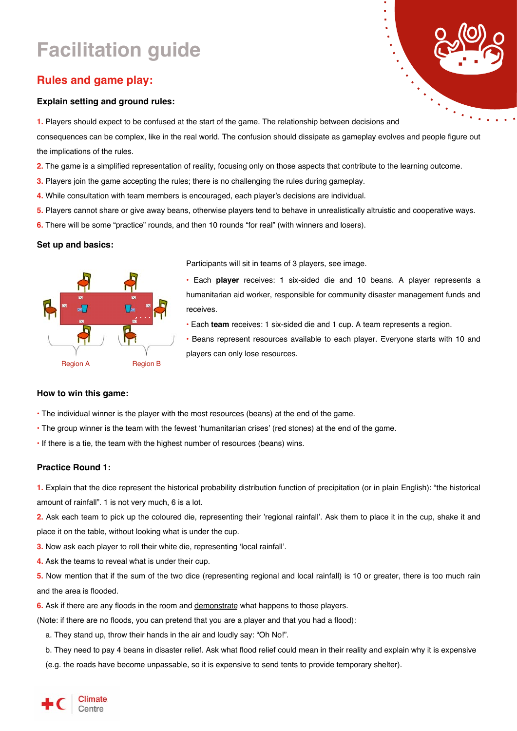## **Facilitation guide**

### **Rules and game play:**

#### **Explain setting and ground rules:**

**1.** Players should expect to be confused at the start of the game. The relationship between decisions and

consequences can be complex, like in the real world. The confusion should dissipate as gameplay evolves and people figure out the implications of the rules.

- **2.** The game is a simplified representation of reality, focusing only on those aspects that contribute to the learning outcome.
- **3.** Players join the game accepting the rules; there is no challenging the rules during gameplay.
- **4.** While consultation with team members is encouraged, each player's decisions are individual.
- **5.** Players cannot share or give away beans, otherwise players tend to behave in unrealistically altruistic and cooperative ways.
- **6.** There will be some "practice" rounds, and then 10 rounds "for real" (with winners and losers).

#### **Set up and basics:**



Participants will sit in teams of 3 players, see image.

- Each **player** receives: 1 six-sided die and 10 beans. A player represents a humanitarian aid worker, responsible for community disaster management funds and receives.
- Each **team** receives: 1 six-sided die and 1 cup. A team represents a region.
- Beans represent resources available to each player. Everyone starts with 10 and players can only lose resources.

#### **How to win this game:**

- The individual winner is the player with the most resources (beans) at the end of the game.
- The group winner is the team with the fewest 'humanitarian crises' (red stones) at the end of the game.
- If there is a tie, the team with the highest number of resources (beans) wins.

#### **Practice Round 1:**

**1.** Explain that the dice represent the historical probability distribution function of precipitation (or in plain English): "the historical amount of rainfall". 1 is not very much, 6 is a lot.

**2.** Ask each team to pick up the coloured die, representing their 'regional rainfall'. Ask them to place it in the cup, shake it and place it on the table, without looking what is under the cup.

**3.** Now ask each player to roll their white die, representing 'local rainfall'.

**4.** Ask the teams to reveal what is under their cup.

**5.** Now mention that if the sum of the two dice (representing regional and local rainfall) is 10 or greater, there is too much rain and the area is flooded.

**6.** Ask if there are any floods in the room and demonstrate what happens to those players.

(Note: if there are no floods, you can pretend that you are a player and that you had a flood):

- a. They stand up, throw their hands in the air and loudly say: "Oh No!".
- b. They need to pay 4 beans in disaster relief. Ask what flood relief could mean in their reality and explain why it is expensive
- (e.g. the roads have become unpassable, so it is expensive to send tents to provide temporary shelter).



í,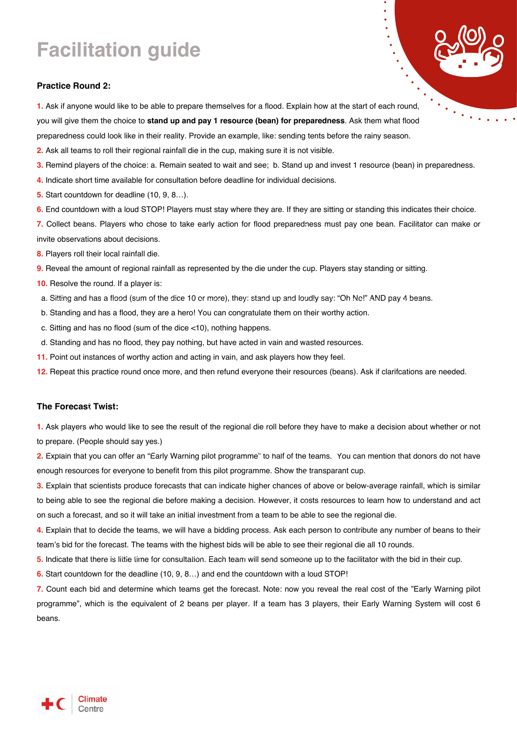### **Facilitation guide**

#### **Practice Round 2:**

**1.** Ask if anyone would like to be able to prepare themselves for a flood. Explain how at the start of each round,

you will give them the choice to **stand up and pay 1 resource (bean) for preparedness**. Ask them what flood

- preparedness could look like in their reality. Provide an example, like: sending tents before the rainy season.
- **2.** Ask all teams to roll their regional rainfall die in the cup, making sure it is not visible.
- **3.** Remind players of the choice: a. Remain seated to wait and see; b. Stand up and invest 1 resource (bean) in preparedness.

ł,

- **4.** Indicate short time available for consultation before deadline for individual decisions.
- **5.** Start countdown for deadline (10, 9, 8…).
- **6.** End countdown with a loud STOP! Players must stay where they are. If they are sitting or standing this indicates their choice.

**7.** Collect beans. Players who chose to take early action for flood preparedness must pay one bean. Facilitator can make or invite observations about decisions.

**8.** Players roll their local rainfall die.

**9.** Reveal the amount of regional rainfall as represented by the die under the cup. Players stay standing or sitting.

- **10.** Resolve the round. If a player is:
- a. Sitting and has a flood (sum of the dice 10 or more), they: stand up and loudly say: "Oh No!" AND pay 4 beans.
- b. Standing and has a flood, they are a hero! You can congratulate them on their worthy action.
- c. Sitting and has no flood (sum of the dice <10), nothing happens.
- d. Standing and has no flood, they pay nothing, but have acted in vain and wasted resources.
- **11.** Point out instances of worthy action and acting in vain, and ask players how they feel.
- **12.** Repeat this practice round once more, and then refund everyone their resources (beans). Ask if clarifcations are needed.

#### **The Forecast Twist:**

**1.** Ask players who would like to see the result of the regional die roll before they have to make a decision about whether or not to prepare. (People should say yes.)

**2.** Explain that you can offer an "Early Warning pilot programme" to half of the teams. You can mention that donors do not have enough resources for everyone to benefit from this pilot programme. Show the transparant cup.

**3.** Explain that scientists produce forecasts that can indicate higher chances of above or below-average rainfall, which is similar to being able to see the regional die before making a decision. However, it costs resources to learn how to understand and act on such a forecast, and so it will take an initial investment from a team to be able to see the regional die.

**4.** Explain that to decide the teams, we will have a bidding process. Ask each person to contribute any number of beans to their team's bid for the forecast. The teams with the highest bids will be able to see their regional die all 10 rounds.

**5.** Indicate that there is little time for consultation. Each team will send someone up to the facilitator with the bid in their cup.

**6.** Start countdown for the deadline (10, 9, 8…) and end the countdown with a loud STOP!

**7.** Count each bid and determine which teams get the forecast. Note: now you reveal the real cost of the "Early Warning pilot programme", which is the equivalent of 2 beans per player. If a team has 3 players, their Early Warning System will cost 6 beans.